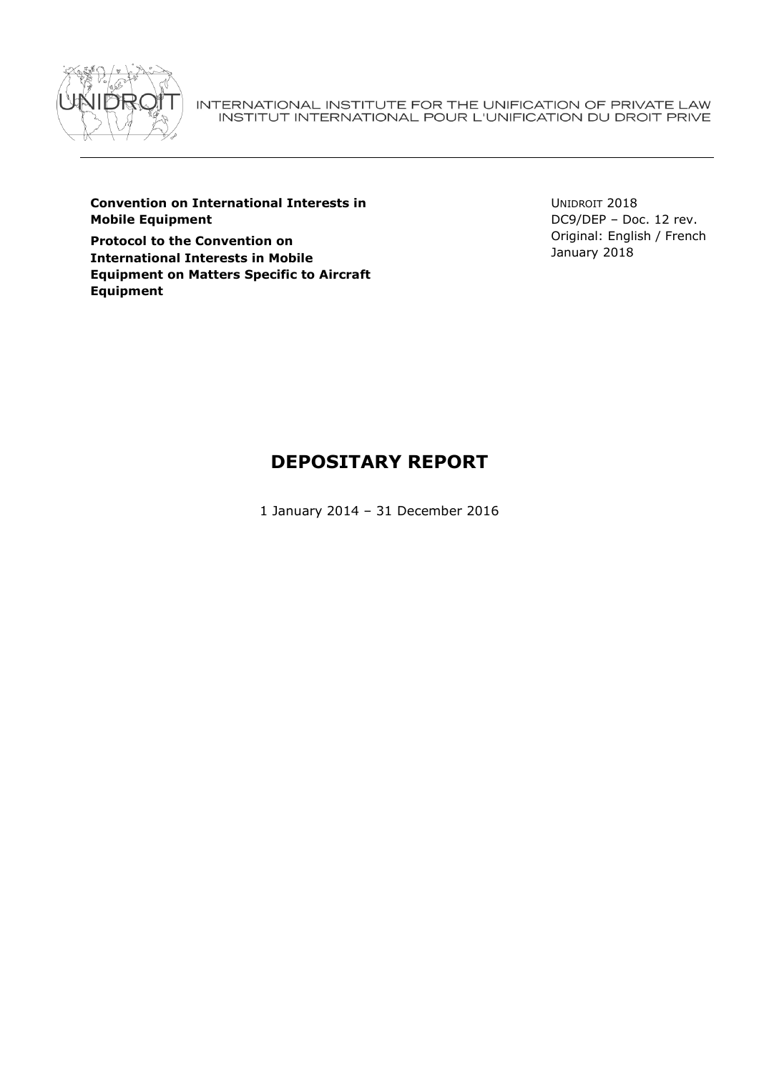

INTERNATIONAL INSTITUTE FOR THE UNIFICATION OF PRIVATE LAW INSTITUT INTERNATIONAL POUR L'UNIFICATION DU DROIT PRIVE

**Convention on International Interests in Mobile Equipment**

**Protocol to the Convention on International Interests in Mobile Equipment on Matters Specific to Aircraft Equipment**

UNIDROIT 2018 DC9/DEP – Doc. 12 rev. Original: English / French January 2018

# **DEPOSITARY REPORT**

1 January 2014 – 31 December 2016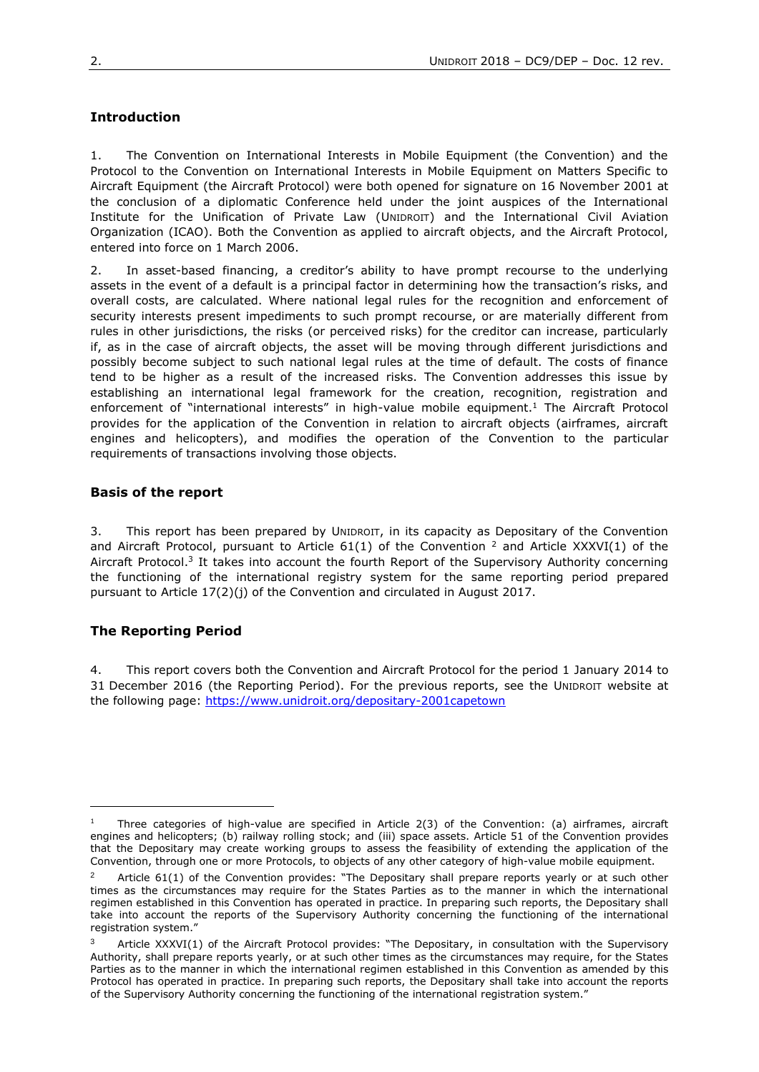# **Introduction**

1. The Convention on International Interests in Mobile Equipment (the Convention) and the Protocol to the Convention on International Interests in Mobile Equipment on Matters Specific to Aircraft Equipment (the Aircraft Protocol) were both opened for signature on 16 November 2001 at the conclusion of a diplomatic Conference held under the joint auspices of the International Institute for the Unification of Private Law (UNIDROIT) and the International Civil Aviation Organization (ICAO). Both the Convention as applied to aircraft objects, and the Aircraft Protocol, entered into force on 1 March 2006.

2. In asset-based financing, a creditor's ability to have prompt recourse to the underlying assets in the event of a default is a principal factor in determining how the transaction's risks, and overall costs, are calculated. Where national legal rules for the recognition and enforcement of security interests present impediments to such prompt recourse, or are materially different from rules in other jurisdictions, the risks (or perceived risks) for the creditor can increase, particularly if, as in the case of aircraft objects, the asset will be moving through different jurisdictions and possibly become subject to such national legal rules at the time of default. The costs of finance tend to be higher as a result of the increased risks. The Convention addresses this issue by establishing an international legal framework for the creation, recognition, registration and enforcement of "international interests" in high-value mobile equipment.<sup>1</sup> The Aircraft Protocol provides for the application of the Convention in relation to aircraft objects (airframes, aircraft engines and helicopters), and modifies the operation of the Convention to the particular requirements of transactions involving those objects.

# **Basis of the report**

3. This report has been prepared by UNIDROIT, in its capacity as Depositary of the Convention and Aircraft Protocol, pursuant to Article 61(1) of the Convention <sup>2</sup> and Article XXXVI(1) of the Aircraft Protocol.<sup>3</sup> It takes into account the fourth Report of the Supervisory Authority concerning the functioning of the international registry system for the same reporting period prepared pursuant to Article 17(2)(j) of the Convention and circulated in August 2017.

# **The Reporting Period**

 $\overline{a}$ 

4. This report covers both the Convention and Aircraft Protocol for the period 1 January 2014 to 31 December 2016 (the Reporting Period). For the previous reports, see the UNIDROIT website at the following page:<https://www.unidroit.org/depositary-2001capetown>

<sup>1</sup> Three categories of high-value are specified in Article 2(3) of the Convention: (a) airframes, aircraft engines and helicopters; (b) railway rolling stock; and (iii) space assets. Article 51 of the Convention provides that the Depositary may create working groups to assess the feasibility of extending the application of the Convention, through one or more Protocols, to objects of any other category of high-value mobile equipment.

<sup>2</sup> Article 61(1) of the Convention provides: "The Depositary shall prepare reports yearly or at such other times as the circumstances may require for the States Parties as to the manner in which the international regimen established in this Convention has operated in practice. In preparing such reports, the Depositary shall take into account the reports of the Supervisory Authority concerning the functioning of the international registration system."

Article XXXVI(1) of the Aircraft Protocol provides: "The Depositary, in consultation with the Supervisory Authority, shall prepare reports yearly, or at such other times as the circumstances may require, for the States Parties as to the manner in which the international regimen established in this Convention as amended by this Protocol has operated in practice. In preparing such reports, the Depositary shall take into account the reports of the Supervisory Authority concerning the functioning of the international registration system."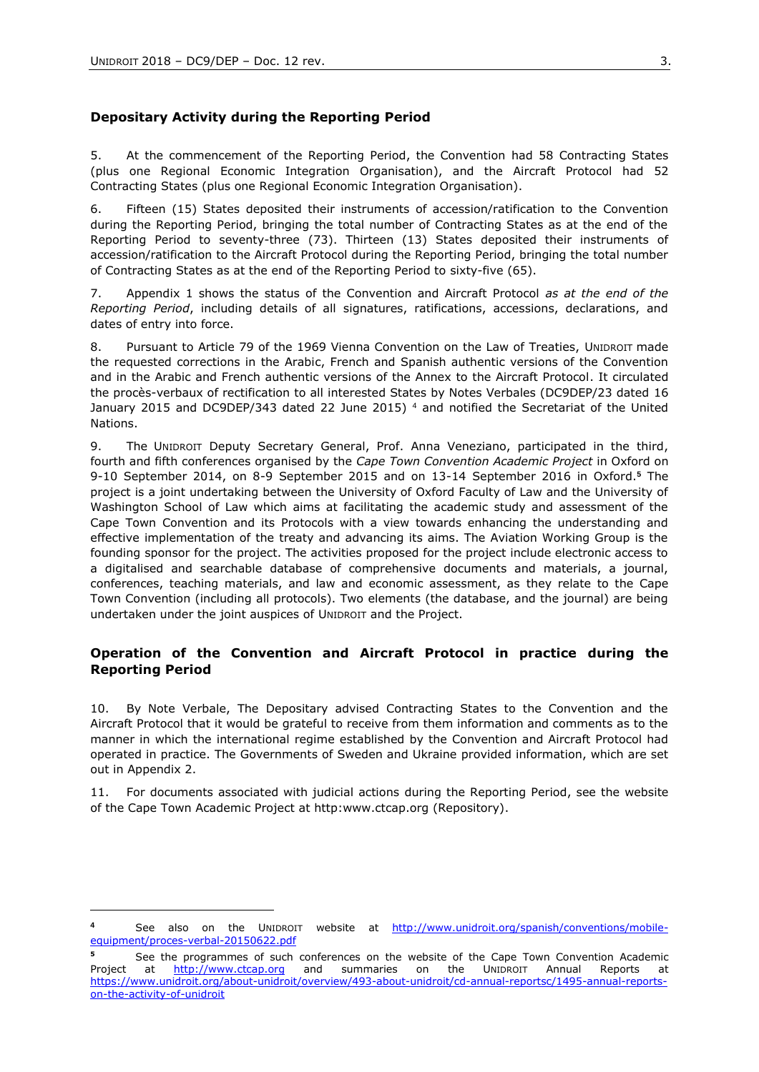$\overline{a}$ 

#### **Depositary Activity during the Reporting Period**

5. At the commencement of the Reporting Period, the Convention had 58 Contracting States (plus one Regional Economic Integration Organisation), and the Aircraft Protocol had 52 Contracting States (plus one Regional Economic Integration Organisation).

6. Fifteen (15) States deposited their instruments of accession/ratification to the Convention during the Reporting Period, bringing the total number of Contracting States as at the end of the Reporting Period to seventy-three (73). Thirteen (13) States deposited their instruments of accession/ratification to the Aircraft Protocol during the Reporting Period, bringing the total number of Contracting States as at the end of the Reporting Period to sixty-five (65).

7. Appendix 1 shows the status of the Convention and Aircraft Protocol *as at the end of the Reporting Period*, including details of all signatures, ratifications, accessions, declarations, and dates of entry into force.

8. Pursuant to Article 79 of the 1969 Vienna Convention on the Law of Treaties, UNIDROIT made the requested corrections in the Arabic, French and Spanish authentic versions of the Convention and in the Arabic and French authentic versions of the Annex to the Aircraft Protocol. It circulated the procès-verbaux of rectification to all interested States by Notes Verbales (DC9DEP/23 dated 16 January 2015 and DC9DEP/343 dated 22 June 2015) <sup>4</sup> and notified the Secretariat of the United Nations.

9. The UNIDROIT Deputy Secretary General, Prof. Anna Veneziano, participated in the third, fourth and fifth conferences organised by the *Cape Town Convention Academic Project* in Oxford on 9-10 September 2014, on 8-9 September 2015 and on 13-14 September 2016 in Oxford.**<sup>5</sup>** The project is a joint undertaking between the University of Oxford Faculty of Law and the University of Washington School of Law which aims at facilitating the academic study and assessment of the Cape Town Convention and its Protocols with a view towards enhancing the understanding and effective implementation of the treaty and advancing its aims. The Aviation Working Group is the founding sponsor for the project. The activities proposed for the project include electronic access to a digitalised and searchable database of comprehensive documents and materials, a journal, conferences, teaching materials, and law and economic assessment, as they relate to the Cape Town Convention (including all protocols). Two elements (the database, and the journal) are being undertaken under the joint auspices of UNIDROIT and the Project.

# **Operation of the Convention and Aircraft Protocol in practice during the Reporting Period**

10. By Note Verbale, The Depositary advised Contracting States to the Convention and the Aircraft Protocol that it would be grateful to receive from them information and comments as to the manner in which the international regime established by the Convention and Aircraft Protocol had operated in practice. The Governments of Sweden and Ukraine provided information, which are set out in Appendix 2.

11. For documents associated with judicial actions during the Reporting Period, see the website of the Cape Town Academic Project at http:www.ctcap.org (Repository).

**<sup>4</sup>** See also on the UNIDROIT website at [http://www.unidroit.org/spanish/conventions/mobile](http://www.unidroit.org/spanish/conventions/mobile-equipment/proces-verbal-20150622.pdf)[equipment/proces-verbal-20150622.pdf](http://www.unidroit.org/spanish/conventions/mobile-equipment/proces-verbal-20150622.pdf)

**<sup>5</sup>** See the programmes of such conferences on the website of the Cape Town Convention Academic Project at [http://www.ctcap.org](http://www.ctcap.org/) and summaries on the UNIDROIT Annual Reports at [https://www.unidroit.org/about-unidroit/overview/493-about-unidroit/cd-annual-reportsc/1495-annual-reports](https://www.unidroit.org/about-unidroit/overview/493-about-unidroit/cd-annual-reportsc/1495-annual-reports-on-the-activity-of-unidroit)[on-the-activity-of-unidroit](https://www.unidroit.org/about-unidroit/overview/493-about-unidroit/cd-annual-reportsc/1495-annual-reports-on-the-activity-of-unidroit)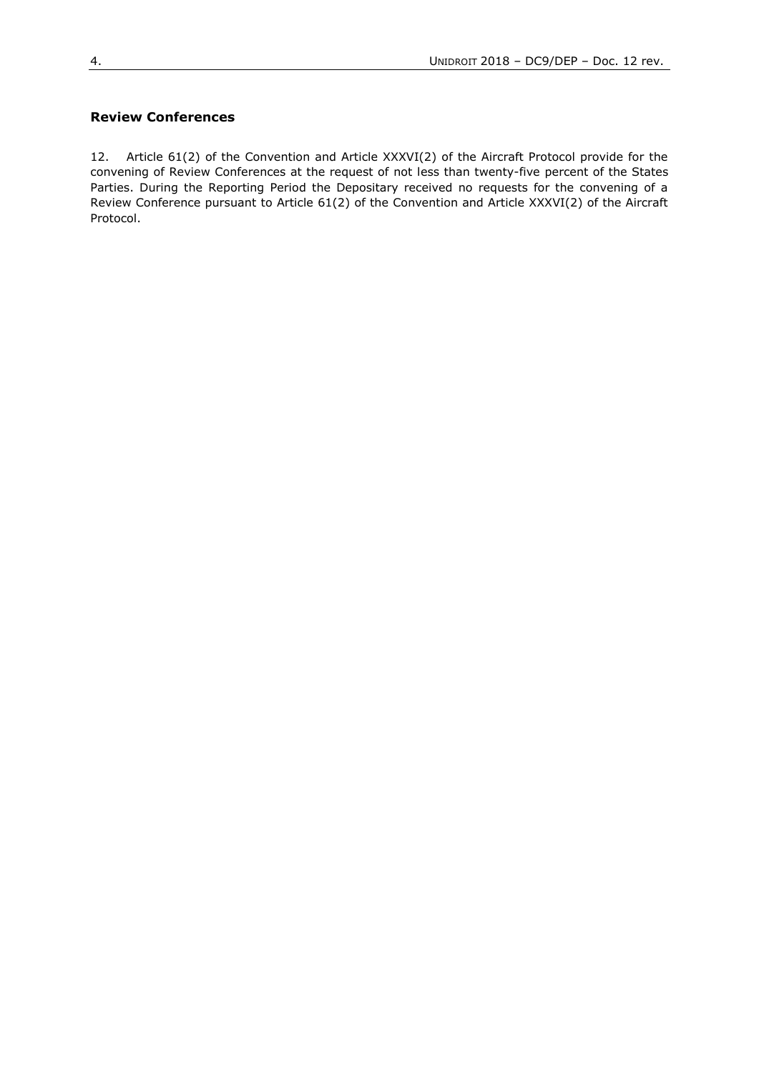# **Review Conferences**

12. Article 61(2) of the Convention and Article XXXVI(2) of the Aircraft Protocol provide for the convening of Review Conferences at the request of not less than twenty-five percent of the States Parties. During the Reporting Period the Depositary received no requests for the convening of a Review Conference pursuant to Article 61(2) of the Convention and Article XXXVI(2) of the Aircraft Protocol.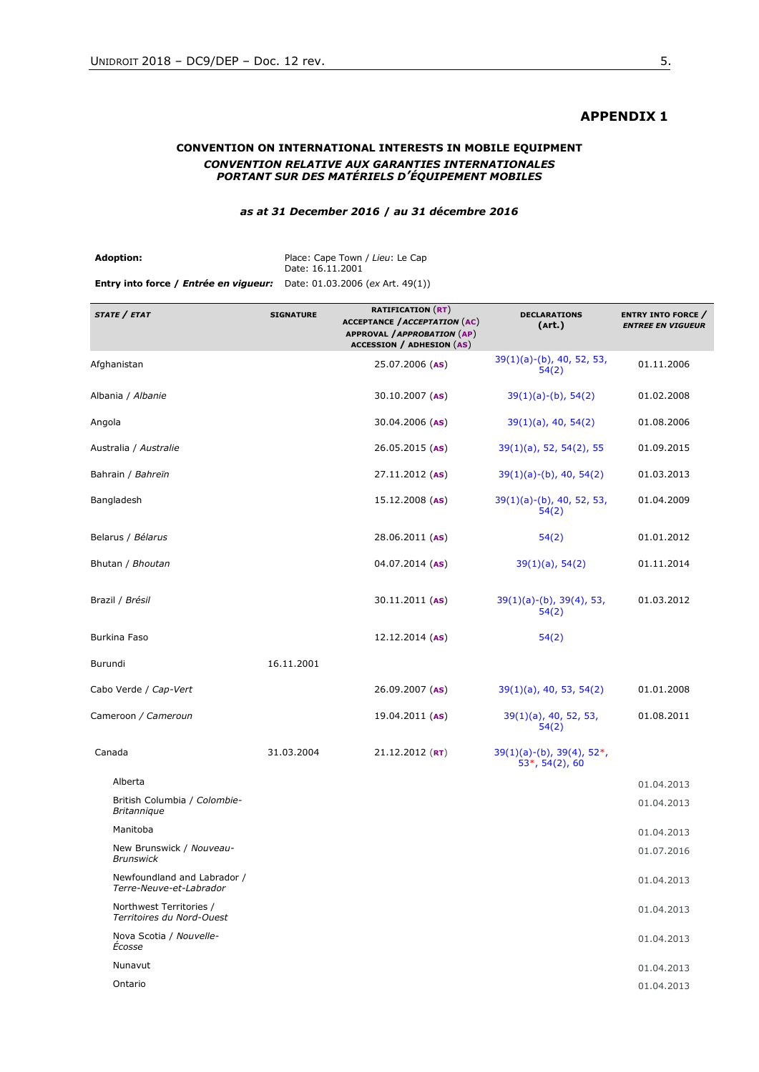## **APPENDIX 1**

### **CONVENTION ON INTERNATIONAL INTERESTS IN MOBILE EQUIPMENT** *CONVENTION RELATIVE AUX GARANTIES INTERNATIONALES PORTANT SUR DES MATÉRIELS D'ÉQUIPEMENT MOBILES*

#### *as at 31 December 2016* **/** *au 31 décembre 2016*

| <b>Adoption:</b>                                                              | Place: Cape Town / Lieu: Le Cap |
|-------------------------------------------------------------------------------|---------------------------------|
|                                                                               | Date: 16.11.2001                |
| <b>Entry into force / Entrée en vigueur:</b> Date: 01.03.2006 (ex Art. 49(1)) |                                 |

| STATE / ETAT                                           | <b>SIGNATURE</b> | <b>RATIFICATION (RT)</b><br><b>ACCEPTANCE / ACCEPTATION (AC)</b><br><b>APPROVAL / APPROBATION (AP)</b><br><b>ACCESSION / ADHESION (AS)</b> | <b>DECLARATIONS</b><br>(Art.)                       | <b>ENTRY INTO FORCE /</b><br><b>ENTREE EN VIGUEUR</b> |
|--------------------------------------------------------|------------------|--------------------------------------------------------------------------------------------------------------------------------------------|-----------------------------------------------------|-------------------------------------------------------|
| Afghanistan                                            |                  | 25.07.2006 (AS)                                                                                                                            | $39(1)(a)-(b)$ , 40, 52, 53,<br>54(2)               | 01.11.2006                                            |
| Albania / Albanie                                      |                  | 30.10.2007 (AS)                                                                                                                            | $39(1)(a)-(b)$ , 54(2)                              | 01.02.2008                                            |
| Angola                                                 |                  | 30.04.2006 (AS)                                                                                                                            | $39(1)(a)$ , 40, 54(2)                              | 01.08.2006                                            |
| Australia / Australie                                  |                  | 26.05.2015 (AS)                                                                                                                            | $39(1)(a)$ , 52, 54(2), 55                          | 01.09.2015                                            |
| Bahrain / Bahreïn                                      |                  | $27.11.2012$ (AS)                                                                                                                          | $39(1)(a)-(b)$ , 40, 54(2)                          | 01.03.2013                                            |
| Bangladesh                                             |                  | $15.12.2008$ (AS)                                                                                                                          | $39(1)(a)-(b)$ , 40, 52, 53,<br>54(2)               | 01.04.2009                                            |
| Belarus / Bélarus                                      |                  | $28.06.2011$ (AS)                                                                                                                          | 54(2)                                               | 01.01.2012                                            |
| Bhutan / Bhoutan                                       |                  | $04.07.2014$ (AS)                                                                                                                          | $39(1)(a)$ , 54(2)                                  | 01.11.2014                                            |
| Brazil / Brésil                                        |                  | $30.11.2011$ (AS)                                                                                                                          | $39(1)(a)-(b)$ , $39(4)$ , 53,<br>54(2)             | 01.03.2012                                            |
| <b>Burkina Faso</b>                                    |                  | $12.12.2014$ (AS)                                                                                                                          | 54(2)                                               |                                                       |
| Burundi                                                | 16.11.2001       |                                                                                                                                            |                                                     |                                                       |
| Cabo Verde / Cap-Vert                                  |                  | 26.09.2007 (AS)                                                                                                                            | $39(1)(a)$ , 40, 53, 54(2)                          | 01.01.2008                                            |
| Cameroon / Cameroun                                    |                  | $19.04.2011$ (AS)                                                                                                                          | $39(1)(a)$ , 40, 52, 53,<br>54(2)                   | 01.08.2011                                            |
| Canada                                                 | 31.03.2004       | $21.12.2012$ (RT)                                                                                                                          | $39(1)(a)-(b)$ , $39(4)$ , $52*,$<br>53*, 54(2), 60 |                                                       |
| Alberta                                                |                  |                                                                                                                                            |                                                     | 01.04.2013                                            |
| British Columbia / Colombie-<br><b>Britannique</b>     |                  |                                                                                                                                            |                                                     | 01.04.2013                                            |
| Manitoba                                               |                  |                                                                                                                                            |                                                     | 01.04.2013                                            |
| New Brunswick / Nouveau-<br><b>Brunswick</b>           |                  |                                                                                                                                            |                                                     | 01.07.2016                                            |
| Newfoundland and Labrador /<br>Terre-Neuve-et-Labrador |                  |                                                                                                                                            |                                                     | 01.04.2013                                            |
| Northwest Territories /<br>Territoires du Nord-Ouest   |                  |                                                                                                                                            |                                                     | 01.04.2013                                            |
| Nova Scotia / Nouvelle-<br>Écosse                      |                  |                                                                                                                                            |                                                     | 01.04.2013                                            |
| Nunavut                                                |                  |                                                                                                                                            |                                                     | 01.04.2013                                            |
| Ontario                                                |                  |                                                                                                                                            |                                                     | 01.04.2013                                            |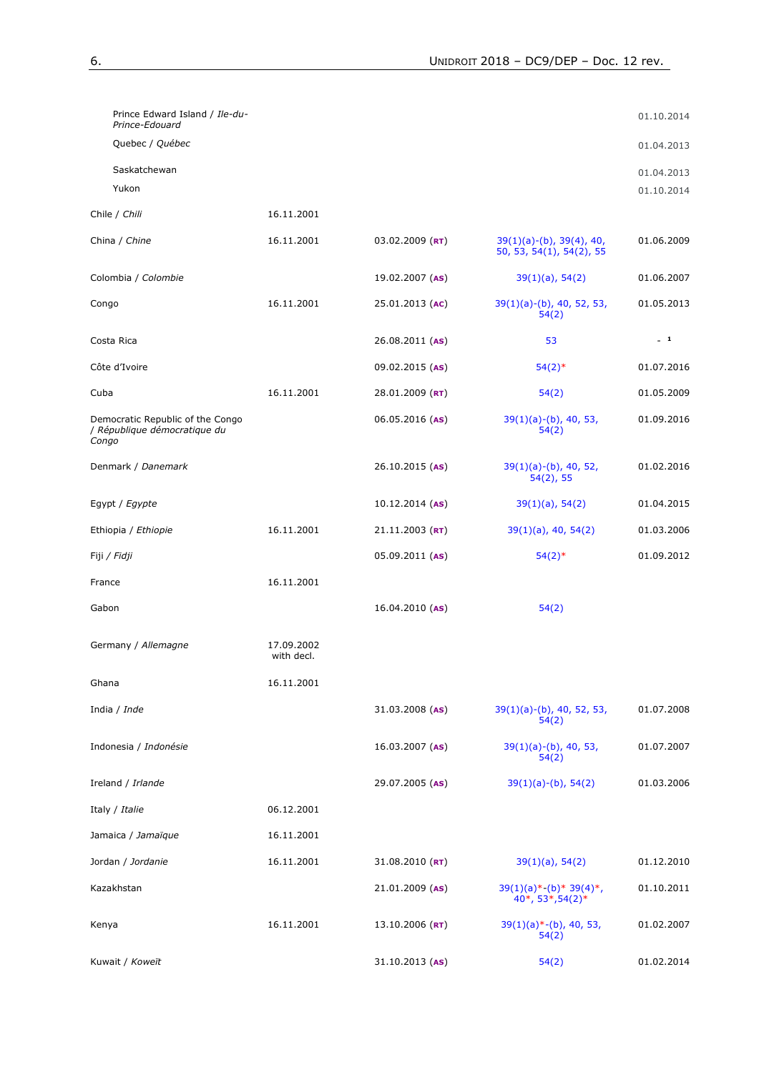| Prince Edward Island / Ile-du-<br>Prince-Edouard                          |                          |                     |                                                            | 01.10.2014 |
|---------------------------------------------------------------------------|--------------------------|---------------------|------------------------------------------------------------|------------|
| Quebec / Québec                                                           |                          |                     |                                                            | 01.04.2013 |
| Saskatchewan                                                              |                          |                     |                                                            | 01.04.2013 |
| Yukon                                                                     |                          |                     |                                                            | 01.10.2014 |
| Chile / Chili                                                             | 16.11.2001               |                     |                                                            |            |
| China / <i>Chine</i>                                                      | 16.11.2001               | $03.02.2009$ (RT)   | $39(1)(a)-(b)$ , $39(4)$ , 40,<br>50, 53, 54(1), 54(2), 55 | 01.06.2009 |
| Colombia / Colombie                                                       |                          | 19.02.2007 (AS)     | $39(1)(a)$ , 54(2)                                         | 01.06.2007 |
| Congo                                                                     | 16.11.2001               | 25.01.2013 (AC)     | $39(1)(a)-(b)$ , 40, 52, 53,<br>54(2)                      | 01.05.2013 |
| Costa Rica                                                                |                          | $26.08.2011$ (AS)   | 53                                                         | $-1$       |
| Côte d'Ivoire                                                             |                          | 09.02.2015 (AS)     | $54(2)$ *                                                  | 01.07.2016 |
| Cuba                                                                      | 16.11.2001               | 28.01.2009 ( $RT$ ) | 54(2)                                                      | 01.05.2009 |
| Democratic Republic of the Congo<br>/ République démocratique du<br>Congo |                          | $06.05.2016$ (AS)   | $39(1)(a)-(b)$ , 40, 53,<br>54(2)                          | 01.09.2016 |
| Denmark / Danemark                                                        |                          | $26.10.2015$ (AS)   | $39(1)(a)-(b)$ , 40, 52,<br>54(2), 55                      | 01.02.2016 |
| Egypt / <i>Egypte</i>                                                     |                          | $10.12.2014$ (AS)   | $39(1)(a)$ , 54(2)                                         | 01.04.2015 |
| Ethiopia / Ethiopie                                                       | 16.11.2001               | $21.11.2003$ (RT)   | $39(1)(a)$ , 40, 54(2)                                     | 01.03.2006 |
| Fiji <i>/ Fidji</i>                                                       |                          | 05.09.2011 (AS)     | $54(2)*$                                                   | 01.09.2012 |
| France                                                                    | 16.11.2001               |                     |                                                            |            |
| Gabon                                                                     |                          | $16.04.2010$ (AS)   | 54(2)                                                      |            |
| Germany / Allemagne                                                       | 17.09.2002<br>with decl. |                     |                                                            |            |
| Ghana                                                                     | 16.11.2001               |                     |                                                            |            |
| India / <i>Inde</i>                                                       |                          | $31.03.2008$ (AS)   | $39(1)(a)-(b)$ , 40, 52, 53,<br>54(2)                      | 01.07.2008 |
| Indonesia / Indonésie                                                     |                          | $16.03.2007$ (AS)   | $39(1)(a)-(b)$ , 40, 53,<br>54(2)                          | 01.07.2007 |
| Ireland / Irlande                                                         |                          | 29.07.2005 (AS)     | $39(1)(a)-(b)$ , 54(2)                                     | 01.03.2006 |
| Italy / Italie                                                            | 06.12.2001               |                     |                                                            |            |
| Jamaica / <i>Jamaïque</i>                                                 | 16.11.2001               |                     |                                                            |            |
| Jordan / Jordanie                                                         | 16.11.2001               | 31.08.2010 $(RT)$   | $39(1)(a)$ , 54(2)                                         | 01.12.2010 |
| Kazakhstan                                                                |                          | 21.01.2009 (AS)     | $39(1)(a)*-(b)*39(4)*$ ,<br>$40^*$ , 53 $*,$ 54(2) $*$     | 01.10.2011 |
| Kenya                                                                     | 16.11.2001               | 13.10.2006 (RT)     | $39(1)(a)$ *-(b), 40, 53,<br>54(2)                         | 01.02.2007 |
| Kuwait / Koweït                                                           |                          | $31.10.2013$ (AS)   | 54(2)                                                      | 01.02.2014 |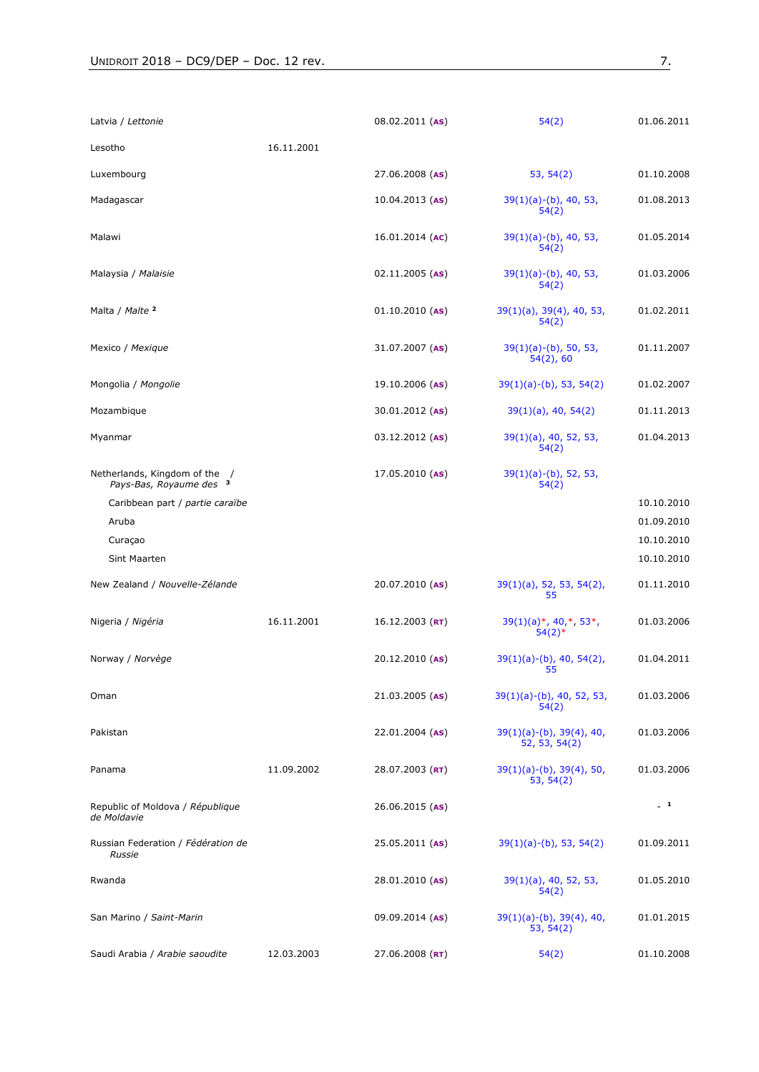| Latvia / Lettonie                                      |            | $08.02.2011$ (AS)   | 54(2)                                           | 01.06.2011               |
|--------------------------------------------------------|------------|---------------------|-------------------------------------------------|--------------------------|
| Lesotho                                                | 16.11.2001 |                     |                                                 |                          |
| Luxembourg                                             |            | 27.06.2008 (AS)     | 53, 54(2)                                       | 01.10.2008               |
| Madagascar                                             |            | $10.04.2013$ (AS)   | $39(1)(a)-(b)$ , 40, 53,<br>54(2)               | 01.08.2013               |
| Malawi                                                 |            | $16.01.2014$ (AC)   | $39(1)(a)-(b)$ , 40, 53,<br>54(2)               | 01.05.2014               |
| Malaysia / <i>Malaisie</i>                             |            | $02.11.2005$ (AS)   | $39(1)(a)-(b)$ , 40, 53,<br>54(2)               | 01.03.2006               |
| Malta / Malte 2                                        |            | $01.10.2010$ (AS)   | $39(1)(a)$ , $39(4)$ , 40, 53,<br>54(2)         | 01.02.2011               |
| Mexico / Mexique                                       |            | $31.07.2007$ (AS)   | $39(1)(a)-(b)$ , 50, 53,<br>54(2), 60           | 01.11.2007               |
| Mongolia / Mongolie                                    |            | $19.10.2006$ (AS)   | 39(1)(a)-(b), 53, 54(2)                         | 01.02.2007               |
| Mozambique                                             |            | $30.01.2012$ (AS)   | 39(1)(a), 40, 54(2)                             | 01.11.2013               |
| Myanmar                                                |            | $03.12.2012$ (AS)   | $39(1)(a)$ , 40, 52, 53,<br>54(2)               | 01.04.2013               |
| Netherlands, Kingdom of the<br>Pays-Bas, Royaume des 3 |            | $17.05.2010$ (AS)   | $39(1)(a)-(b)$ , 52, 53,<br>54(2)               |                          |
| Caribbean part / partie caraïbe                        |            |                     |                                                 | 10.10.2010               |
| Aruba                                                  |            |                     |                                                 | 01.09.2010               |
| Curaçao<br>Sint Maarten                                |            |                     |                                                 | 10.10.2010<br>10.10.2010 |
| New Zealand / Nouvelle-Zélande                         |            | $20.07.2010$ (AS)   | $39(1)(a)$ , 52, 53, 54(2),<br>55               | 01.11.2010               |
| Nigeria / Nigéria                                      | 16.11.2001 | $16.12.2003$ (RT)   | 39(1)(a)*, 40,*, 53*,<br>54(2)                  | 01.03.2006               |
| Norway / Norvège                                       |            | $20.12.2010$ (AS)   | $39(1)(a)-(b)$ , 40, 54(2),<br>55               | 01.04.2011               |
| Oman                                                   |            | 21.03.2005 (AS)     | $39(1)(a)-(b)$ , 40, 52, 53,<br>54(2)           | 01.03.2006               |
| Pakistan                                               |            | $22.01.2004$ (AS)   | $39(1)(a)-(b)$ , $39(4)$ , 40,<br>52, 53, 54(2) | 01.03.2006               |
| Panama                                                 | 11.09.2002 | 28.07.2003 ( $RT$ ) | $39(1)(a)-(b)$ , $39(4)$ , 50,<br>53, 54(2)     | 01.03.2006               |
| Republic of Moldova / République<br>de Moldavie        |            | 26.06.2015 (AS)     |                                                 | $-1$                     |
| Russian Federation / Fédération de<br>Russie           |            | 25.05.2011 (AS)     | $39(1)(a)-(b)$ , 53, 54(2)                      | 01.09.2011               |
| Rwanda                                                 |            | 28.01.2010 (AS)     | $39(1)(a)$ , 40, 52, 53,<br>54(2)               | 01.05.2010               |
| San Marino / Saint-Marin                               |            | 09.09.2014 (AS)     | $39(1)(a)-(b)$ , $39(4)$ , 40,<br>53, 54(2)     | 01.01.2015               |
| Saudi Arabia / Arabie saoudite                         | 12.03.2003 | $27.06.2008$ (RT)   | 54(2)                                           | 01.10.2008               |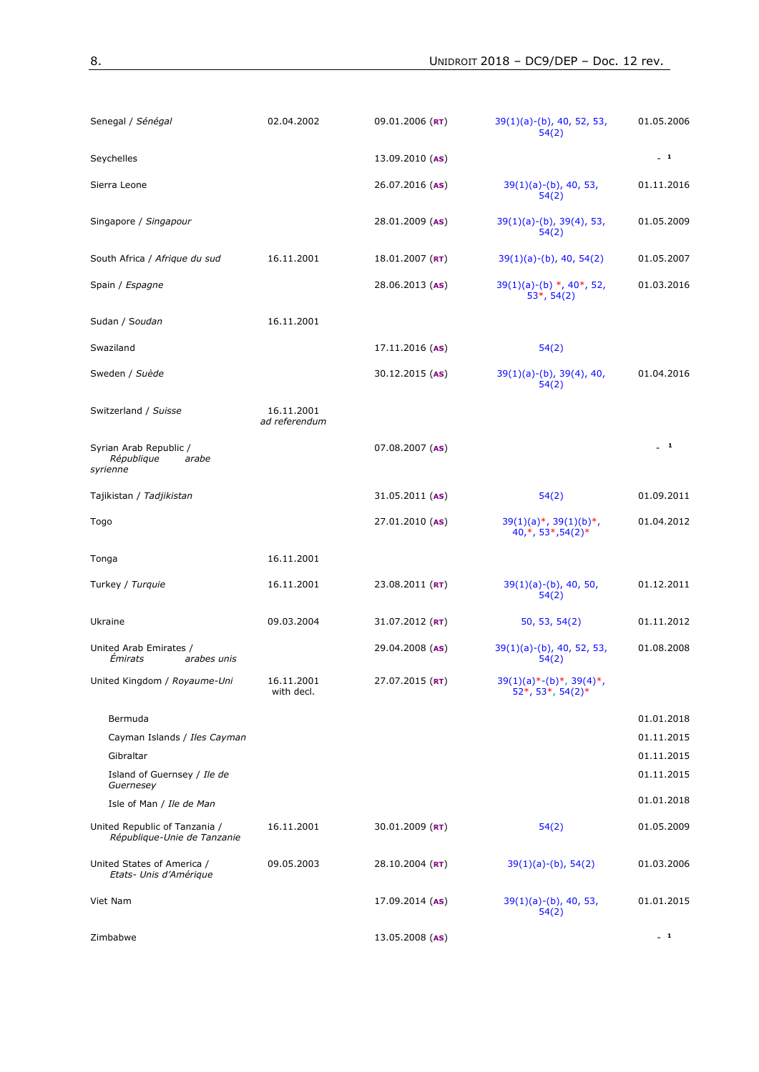| Senegal / Sénégal                                                                                                            | 02.04.2002                  | 09.01.2006 (RT)     | $39(1)(a)-(b)$ , 40, 52, 53,<br>54(2)                      | 01.05.2006                                                         |
|------------------------------------------------------------------------------------------------------------------------------|-----------------------------|---------------------|------------------------------------------------------------|--------------------------------------------------------------------|
| Seychelles                                                                                                                   |                             | $13.09.2010$ (AS)   |                                                            | $-1$                                                               |
| Sierra Leone                                                                                                                 |                             | 26.07.2016 (AS)     | $39(1)(a)-(b)$ , 40, 53,<br>54(2)                          | 01.11.2016                                                         |
| Singapore / Singapour                                                                                                        |                             | $28.01.2009$ (AS)   | $39(1)(a)-(b)$ , $39(4)$ , 53,<br>54(2)                    | 01.05.2009                                                         |
| South Africa / Afrique du sud                                                                                                | 16.11.2001                  | 18.01.2007 $(RT)$   | $39(1)(a)-(b)$ , 40, 54(2)                                 | 01.05.2007                                                         |
| Spain / Espagne                                                                                                              |                             | $28.06.2013$ (AS)   | $39(1)(a)-(b)$ *, 40*, 52,<br>$53*, 54(2)$                 | 01.03.2016                                                         |
| Sudan / Soudan                                                                                                               | 16.11.2001                  |                     |                                                            |                                                                    |
| Swaziland                                                                                                                    |                             | $17.11.2016$ (AS)   | 54(2)                                                      |                                                                    |
| Sweden / Suède                                                                                                               |                             | 30.12.2015 (AS)     | $39(1)(a)-(b)$ , $39(4)$ , 40,<br>54(2)                    | 01.04.2016                                                         |
| Switzerland / Suisse                                                                                                         | 16.11.2001<br>ad referendum |                     |                                                            |                                                                    |
| Syrian Arab Republic /<br>République<br>arabe<br>syrienne                                                                    |                             | 07.08.2007 (AS)     |                                                            | $-1$                                                               |
| Tajikistan / Tadjikistan                                                                                                     |                             | $31.05.2011$ (AS)   | 54(2)                                                      | 01.09.2011                                                         |
| Togo                                                                                                                         |                             | 27.01.2010 (AS)     | $39(1)(a)*$ , $39(1)(b)*$ ,<br>$40,*$ , 53 $*$ , 54(2) $*$ | 01.04.2012                                                         |
| Tonga                                                                                                                        | 16.11.2001                  |                     |                                                            |                                                                    |
| Turkey / Turquie                                                                                                             | 16.11.2001                  | $23.08.2011$ (RT)   | $39(1)(a)-(b)$ , 40, 50,<br>54(2)                          | 01.12.2011                                                         |
| Ukraine                                                                                                                      | 09.03.2004                  | 31.07.2012 (RT)     | 50, 53, 54(2)                                              | 01.11.2012                                                         |
| United Arab Emirates /<br>Émirats<br>arabes unis                                                                             |                             | 29.04.2008 (AS)     | $39(1)(a)-(b)$ , 40, 52, 53,<br>54(2)                      | 01.08.2008                                                         |
| United Kingdom / Royaume-Uni                                                                                                 | 16.11.2001<br>with decl.    | 27.07.2015 (RT)     | $39(1)(a)*-(b)*$ , $39(4)*$ ,<br>52*, 53*, 54(2)*          |                                                                    |
| Bermuda<br>Cayman Islands / Iles Cayman<br>Gibraltar<br>Island of Guernsey / Ile de<br>Guernesey<br>Isle of Man / Ile de Man |                             |                     |                                                            | 01.01.2018<br>01.11.2015<br>01.11.2015<br>01.11.2015<br>01.01.2018 |
| United Republic of Tanzania /<br>République-Unie de Tanzanie                                                                 | 16.11.2001                  | 30.01.2009 ( $RT$ ) | 54(2)                                                      | 01.05.2009                                                         |
| United States of America /<br>Etats- Unis d'Amérique                                                                         | 09.05.2003                  | 28.10.2004 ( $RT$ ) | $39(1)(a)-(b)$ , 54(2)                                     | 01.03.2006                                                         |
| Viet Nam                                                                                                                     |                             | $17.09.2014$ (AS)   | $39(1)(a)-(b)$ , 40, 53,<br>54(2)                          | 01.01.2015                                                         |
| Zimbabwe                                                                                                                     |                             | 13.05.2008 (AS)     |                                                            | $-1$                                                               |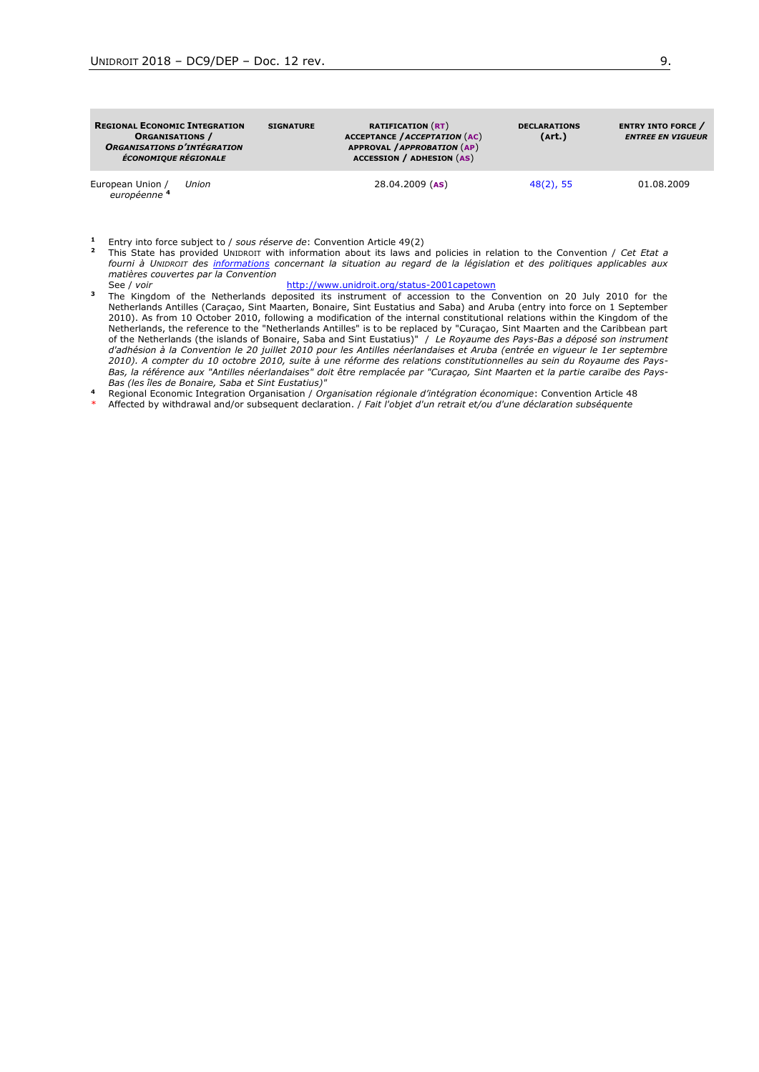| <b>REGIONAL ECONOMIC INTEGRATION</b><br><b>ORGANISATIONS</b> /<br><b>ORGANISATIONS D'INTÉGRATION</b><br><b>ÉCONOMIQUE RÉGIONALE</b> |       | <b>SIGNATURE</b> | <b>RATIFICATION (RT)</b><br><b>ACCEPTANCE / ACCEPTATION (AC)</b><br>APPROVAL / APPROBATION (AP)<br><b>ACCESSION / ADHESION (AS)</b> | <b>DECLARATIONS</b><br>(Art.) | <b>ENTRY INTO FORCE</b> /<br><b>ENTREE EN VIGUEUR</b> |
|-------------------------------------------------------------------------------------------------------------------------------------|-------|------------------|-------------------------------------------------------------------------------------------------------------------------------------|-------------------------------|-------------------------------------------------------|
| European Union /<br>européenne 4                                                                                                    | Union |                  | 28.04.2009 (AS)                                                                                                                     | $48(2)$ , 55                  | 01.08.2009                                            |

**<sup>1</sup>** Entry into force subject to / *sous réserve de*: Convention Article 49(2)

- **<sup>2</sup>** This State has provided UNIDROIT with information about its laws and policies in relation to the Convention / *Cet Etat a fourni à UNIDROIT des informations concernant la situation au regard de la législation et des politiques applicables aux matières couvertes par la Convention* <http://www.unidroit.org/status-2001capetown>
- **<sup>3</sup>** The Kingdom of the Netherlands deposited its instrument of accession to the Convention on 20 July 2010 for the Netherlands Antilles (Caraçao, Sint Maarten, Bonaire, Sint Eustatius and Saba) and Aruba (entry into force on 1 September 2010). As from 10 October 2010, following a modification of the internal constitutional relations within the Kingdom of the Netherlands, the reference to the "Netherlands Antilles" is to be replaced by "Curaçao, Sint Maarten and the Caribbean part of the Netherlands (the islands of Bonaire, Saba and Sint Eustatius)" / *Le Royaume des Pays-Bas a déposé son instrument d'adhésion à la Convention le 20 juillet 2010 pour les Antilles néerlandaises et Aruba (entrée en vigueur le 1er septembre 2010). A compter du 10 octobre 2010, suite à une réforme des relations constitutionnelles au sein du Royaume des Pays-Bas, la référence aux "Antilles néerlandaises" doit être remplacée par "Curaçao, Sint Maarten et la partie caraïbe des Pays-Bas (les îles de Bonaire, Saba et Sint Eustatius)"*
- **<sup>4</sup>** Regional Economic Integration Organisation / *Organisation régionale d'intégration économique*: Convention Article 48
- \* Affected by withdrawal and/or subsequent declaration. / *Fait l'objet d'un retrait et/ou d'une déclaration subséquente*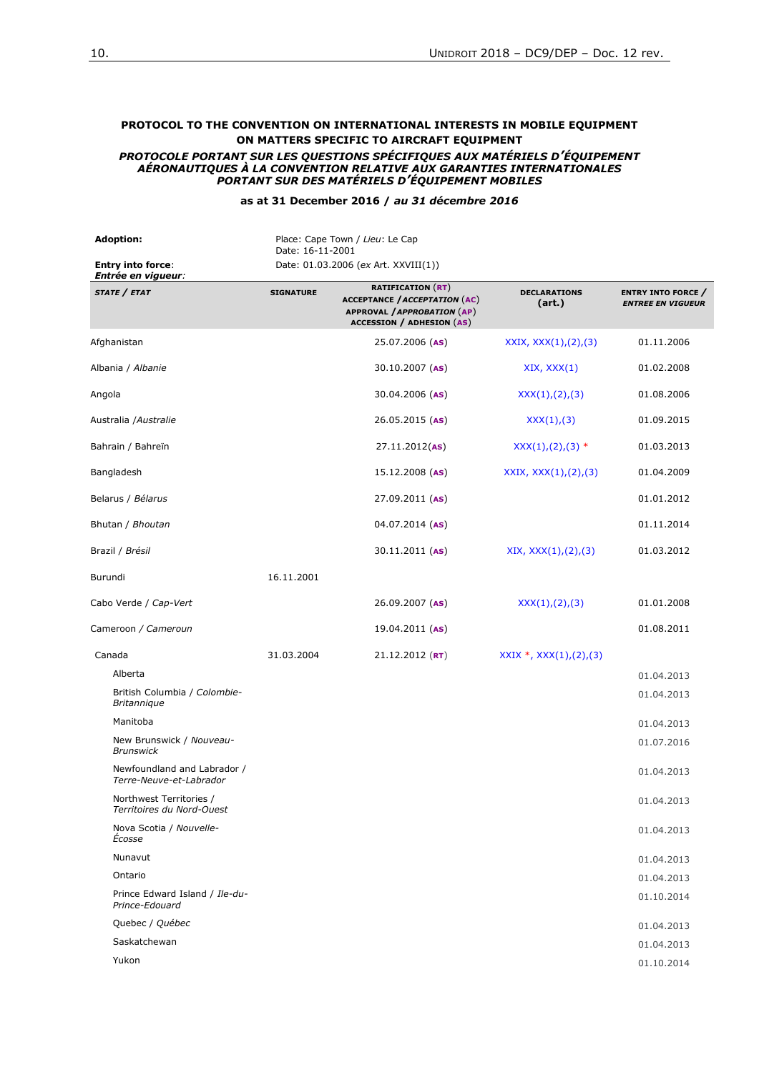#### **PROTOCOL TO THE CONVENTION ON INTERNATIONAL INTERESTS IN MOBILE EQUIPMENT ON MATTERS SPECIFIC TO AIRCRAFT EQUIPMENT** *PROTOCOLE PORTANT SUR LES QUESTIONS SPÉCIFIQUES AUX MATÉRIELS D'ÉQUIPEMENT AÉRONAUTIQUES À LA CONVENTION RELATIVE AUX GARANTIES INTERNATIONALES PORTANT SUR DES MATÉRIELS D'ÉQUIPEMENT MOBILES*

#### **as at 31 December 2016 /** *au 31 décembre 2016*

**Adoption:** Place: Cape Town / *Lieu*: Le Cap Date: 16-11-2001 **Entry into force**: *Entrée en vigueur:* Date: 01.03.2006 (*ex* Art. XXVIII(1)) *STATE / ETAT* **SIGNATURE RATIFICATION** (**RT**) **ACCEPTANCE /***ACCEPTATION* (**AC**) **APPROVAL /***APPROBATION* (**AP**) **ACCESSION / ADHESION** (**AS**) **DECLARATIONS (art.) ENTRY INTO FORCE** */ ENTREE EN VIGUEUR* Afghanistan 25.07.2006 (**AS**) XXIX, XXX(1),(2),(3) 01.11.2006 Albania / *Albanie* 30.10.2007 (**AS**) XIX, XXX(1) 01.02.2008 Angola **30.04.2006** (AS)  $\chi$ XX(1),(2),(3) 01.08.2006 Australia /*Australie* 26.05.2015 (**AS**) XXX(1),(3) 01.09.2015 Bahrain / Bahreïn 27.11.2012(**AS**) XXX(1),(2),(3) \* 01.03.2013 Bangladesh 15.12.2008 (AS) XXIX, XXX(1),(2),(3) 01.04.2009 Belarus / *Bélarus* 27.09.2011 (**AS**) 01.01.2012 Bhutan / *Bhoutan* 04.07.2014 (**AS**) 01.11.2014 Brazil / *Brésil* 30.11.2011 (**AS**) XIX, XXX(1),(2),(3) 01.03.2012 Burundi 16.11.2001 Cabo Verde / *Cap-Vert* 26.09.2007 (**AS**) XXX(1),(2),(3) 01.01.2008 Cameroon */ Cameroun* 19.04.2011 (**AS**) 01.08.2011 Canada 31.03.2004 21.12.2012 (**RT**) XXIX \*, XXX(1),(2),(3) Alberta 01.04.2013 British Columbia / *Colombie-Britannique* 01.04.2013 Manitoba 01.04.2013 New Brunswick / *Nouveau-Brunswick* 01.07.2016 Newfoundland and Labrador / *Terre-Neuve-et-Labrador* 01.04.2013 Northwest Territories / *Territoires du Nord-Ouest* 01.04.2013 Nova Scotia / *Nouvelle*nova Scotia / *Nouvelle*<br>Écosse de la construction de la construction de la construction de la construction de la construction de la con Nunavut 01.04.2013 Ontario 01.04.2013 Prince Edward Island / *Ile-du-Prince-Edouard* 01.10.2014 Quebec / *Québec* 01.04.2013 Saskatchewan 01.04.2013 Yukon 01.10.2014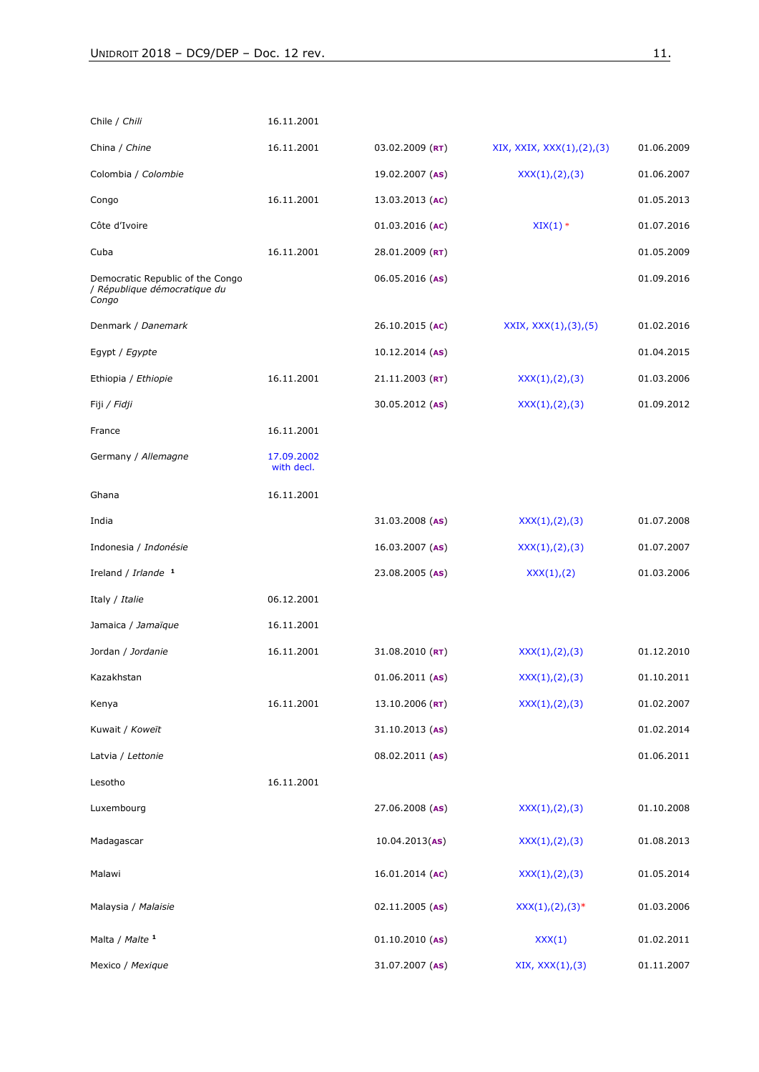| Chile / Chili                                                             | 16.11.2001               |                   |                           |            |
|---------------------------------------------------------------------------|--------------------------|-------------------|---------------------------|------------|
| China / Chine                                                             | 16.11.2001               | $03.02.2009$ (RT) | XIX, XXIX, XXX(1),(2),(3) | 01.06.2009 |
| Colombia / Colombie                                                       |                          | $19.02.2007$ (AS) | XXX(1), (2), (3)          | 01.06.2007 |
| Congo                                                                     | 16.11.2001               | $13.03.2013$ (AC) |                           | 01.05.2013 |
| Côte d'Ivoire                                                             |                          | $01.03.2016$ (AC) | $XIX(1)$ *                | 01.07.2016 |
| Cuba                                                                      | 16.11.2001               | 28.01.2009 (RT)   |                           | 01.05.2009 |
| Democratic Republic of the Congo<br>/ République démocratique du<br>Congo |                          | $06.05.2016$ (AS) |                           | 01.09.2016 |
| Denmark / Danemark                                                        |                          | 26.10.2015 (AC)   | XXIX, XXX(1), (3), (5)    | 01.02.2016 |
| Egypt / Egypte                                                            |                          | $10.12.2014$ (AS) |                           | 01.04.2015 |
| Ethiopia / Ethiopie                                                       | 16.11.2001               | $21.11.2003$ (RT) | XXX(1), (2), (3)          | 01.03.2006 |
| Fiji / <i>Fidji</i>                                                       |                          | 30.05.2012 (AS)   | XXX(1), (2), (3)          | 01.09.2012 |
| France                                                                    | 16.11.2001               |                   |                           |            |
| Germany / Allemagne                                                       | 17.09.2002<br>with decl. |                   |                           |            |
| Ghana                                                                     | 16.11.2001               |                   |                           |            |
| India                                                                     |                          | $31.03.2008$ (AS) | XXX(1),(2),(3)            | 01.07.2008 |
| Indonesia / Indonésie                                                     |                          | 16.03.2007 (AS)   | XXX(1), (2), (3)          | 01.07.2007 |
| Ireland / Irlande <sup>1</sup>                                            |                          | 23.08.2005 (AS)   | XXX(1),(2)                | 01.03.2006 |
| Italy / Italie                                                            | 06.12.2001               |                   |                           |            |
| Jamaica / Jamaïque                                                        | 16.11.2001               |                   |                           |            |
| Jordan / Jordanie                                                         | 16.11.2001               | $31.08.2010$ (RT) | XXX(1),(2),(3)            | 01.12.2010 |
| Kazakhstan                                                                |                          | $01.06.2011$ (AS) | XXX(1),(2),(3)            | 01.10.2011 |
| Kenya                                                                     | 16.11.2001               | 13.10.2006 (RT)   | XXX(1),(2),(3)            | 01.02.2007 |
| Kuwait / Koweït                                                           |                          | 31.10.2013 (AS)   |                           | 01.02.2014 |
| Latvia / Lettonie                                                         |                          | 08.02.2011 (AS)   |                           | 01.06.2011 |
| Lesotho                                                                   | 16.11.2001               |                   |                           |            |
| Luxembourg                                                                |                          | 27.06.2008 (AS)   | XXX(1), (2), (3)          | 01.10.2008 |
| Madagascar                                                                |                          | 10.04.2013(AB)    | XXX(1), (2), (3)          | 01.08.2013 |
| Malawi                                                                    |                          | 16.01.2014 (AC)   | XXX(1), (2), (3)          | 01.05.2014 |
| Malaysia / Malaisie                                                       |                          | $02.11.2005$ (AS) | $XXX(1), (2), (3)*$       | 01.03.2006 |
| Malta / Malte 1                                                           |                          | $01.10.2010$ (AS) | XXX(1)                    | 01.02.2011 |
| Mexico / Mexique                                                          |                          | 31.07.2007 (AS)   | XIX, XXX(1),(3)           | 01.11.2007 |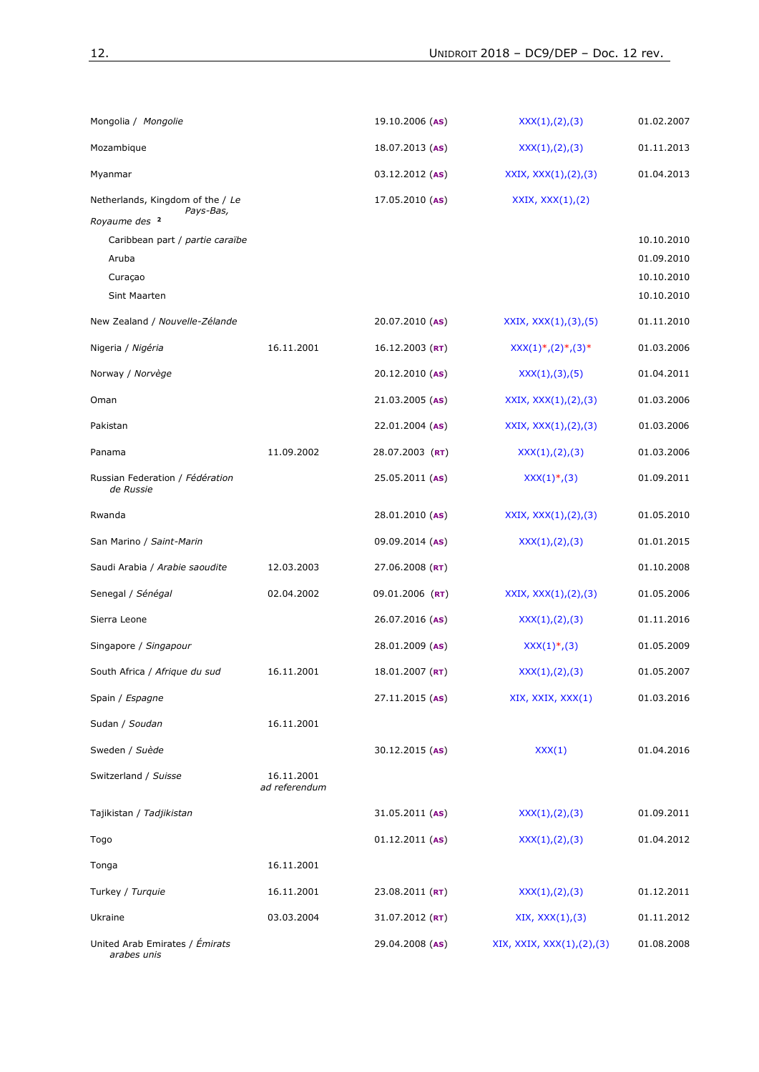| Mongolia / Mongolie                           |                             | $19.10.2006$ (AS)   | XXX(1),(2),(3)            | 01.02.2007               |
|-----------------------------------------------|-----------------------------|---------------------|---------------------------|--------------------------|
| Mozambique                                    |                             | $18.07.2013$ (AS)   | XXX(1),(2),(3)            | 01.11.2013               |
| Myanmar                                       |                             | 03.12.2012 (AS)     | XXIX, $XXX(1), (2), (3)$  | 01.04.2013               |
| Netherlands, Kingdom of the / Le<br>Pays-Bas, |                             | $17.05.2010$ (AS)   | XXXIX, XXX(1), (2)        |                          |
| Royaume des <sup>2</sup>                      |                             |                     |                           |                          |
| Caribbean part / partie caraïbe<br>Aruba      |                             |                     |                           | 10.10.2010<br>01.09.2010 |
| Curaçao                                       |                             |                     |                           | 10.10.2010               |
| Sint Maarten                                  |                             |                     |                           | 10.10.2010               |
| New Zealand / Nouvelle-Zélande                |                             | $20.07.2010$ (AS)   | XXIX, $XXX(1), (3), (5)$  | 01.11.2010               |
| Nigeria / Nigéria                             | 16.11.2001                  | $16.12.2003$ (RT)   | $XXX(1), (2), (3)$ *      | 01.03.2006               |
| Norway / Norvège                              |                             | $20.12.2010$ (AS)   | XXX(1),(3),(5)            | 01.04.2011               |
| Oman                                          |                             | 21.03.2005 (AS)     | XXIX, $XXX(1), (2), (3)$  | 01.03.2006               |
| Pakistan                                      |                             | $22.01.2004$ (AS)   | XXIX, $XXX(1), (2), (3)$  | 01.03.2006               |
| Panama                                        | 11.09.2002                  | 28.07.2003 (RT)     | XXX(1), (2), (3)          | 01.03.2006               |
| Russian Federation / Fédération<br>de Russie  |                             | 25.05.2011 (AS)     | $XXX(1)^*, (3)$           | 01.09.2011               |
| Rwanda                                        |                             | 28.01.2010 (AS)     | XXIX, $XXX(1), (2), (3)$  | 01.05.2010               |
| San Marino / Saint-Marin                      |                             | 09.09.2014 (AS)     | XXX(1),(2),(3)            | 01.01.2015               |
| Saudi Arabia / Arabie saoudite                | 12.03.2003                  | 27.06.2008 ( $RT$ ) |                           | 01.10.2008               |
| Senegal / Sénégal                             | 02.04.2002                  | 09.01.2006 (RT)     | XXIX, $XXX(1), (2), (3)$  | 01.05.2006               |
| Sierra Leone                                  |                             | 26.07.2016 (AS)     | XXX(1),(2),(3)            | 01.11.2016               |
| Singapore / Singapour                         |                             | 28.01.2009 (AS)     | $XXX(1)^*, (3)$           | 01.05.2009               |
| South Africa / Afrique du sud                 | 16.11.2001                  | $18.01.2007$ (RT)   | XXX(1),(2),(3)            | 01.05.2007               |
| Spain / Espagne                               |                             | $27.11.2015$ (AS)   | XIX, XXIX, XXX(1)         | 01.03.2016               |
| Sudan / Soudan                                | 16.11.2001                  |                     |                           |                          |
| Sweden / Suède                                |                             | 30.12.2015 (AS)     | XXX(1)                    | 01.04.2016               |
| Switzerland / Suisse                          | 16.11.2001<br>ad referendum |                     |                           |                          |
| Tajikistan / Tadjikistan                      |                             | $31.05.2011$ (AS)   | XXX(1),(2),(3)            | 01.09.2011               |
| Togo                                          |                             | $01.12.2011$ (AS)   | XXX(1),(2),(3)            | 01.04.2012               |
| Tonga                                         | 16.11.2001                  |                     |                           |                          |
| Turkey / Turquie                              | 16.11.2001                  | $23.08.2011$ (RT)   | XXX(1),(2),(3)            | 01.12.2011               |
| Ukraine                                       | 03.03.2004                  | 31.07.2012 (RT)     | XIX, XXX(1), (3)          | 01.11.2012               |
| United Arab Emirates / Émirats<br>arabes unis |                             | 29.04.2008 (AS)     | XIX, XXIX, XXX(1),(2),(3) | 01.08.2008               |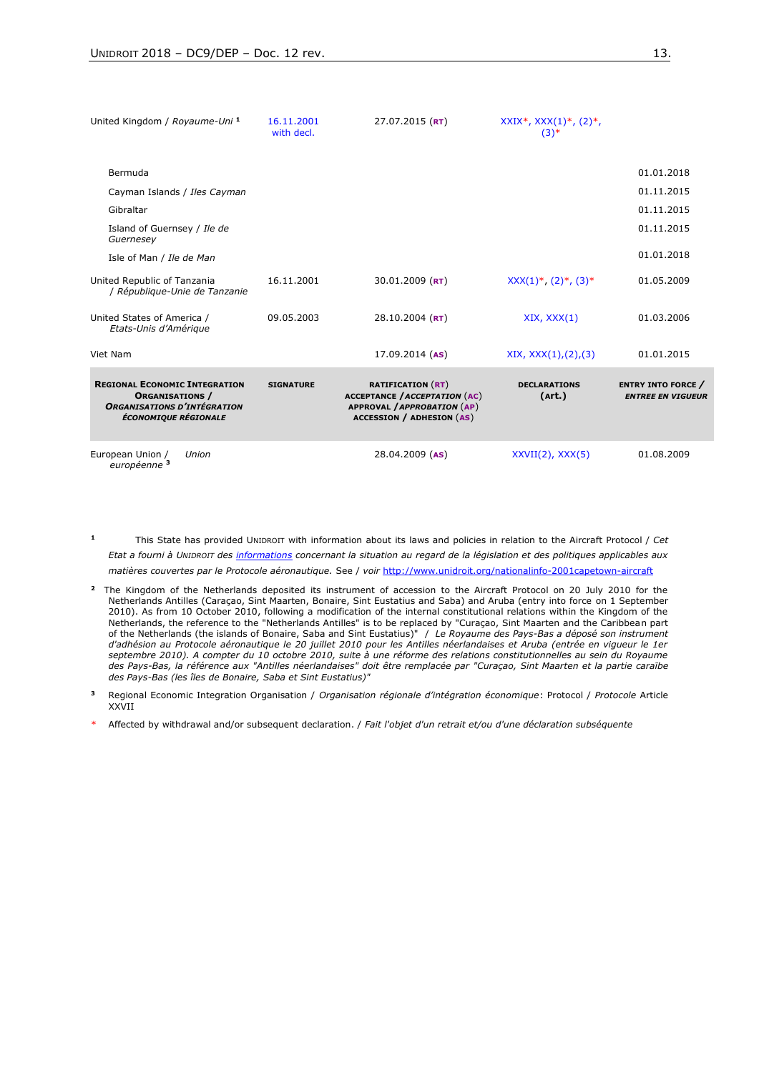| United Kingdom / Royaume-Uni <sup>1</sup>                                                                                    | 16.11.2001<br>with decl. | $27.07.2015$ (RT)                                                                                                                          | $XXIX^*$ , $XXX(1)^*$ , $(2)^*$ ,<br>$(3)$ * |                                                       |
|------------------------------------------------------------------------------------------------------------------------------|--------------------------|--------------------------------------------------------------------------------------------------------------------------------------------|----------------------------------------------|-------------------------------------------------------|
| Bermuda                                                                                                                      |                          |                                                                                                                                            |                                              | 01.01.2018                                            |
| Cayman Islands / Iles Cayman                                                                                                 |                          |                                                                                                                                            |                                              | 01.11.2015                                            |
| Gibraltar                                                                                                                    |                          |                                                                                                                                            |                                              | 01.11.2015                                            |
| Island of Guernsey / Ile de<br>Guernesey                                                                                     |                          |                                                                                                                                            |                                              | 01.11.2015                                            |
| Isle of Man / Ile de Man                                                                                                     |                          |                                                                                                                                            |                                              | 01.01.2018                                            |
| United Republic of Tanzania<br>/ République-Unie de Tanzanie                                                                 | 16.11.2001               | 30.01.2009 ( $RT$ )                                                                                                                        | $XXX(1)^*, (2)^*, (3)^*$                     | 01.05.2009                                            |
| United States of America /<br>Etats-Unis d'Amérique                                                                          | 09.05.2003               | $28.10.2004$ (RT)                                                                                                                          | XIX, XXX(1)                                  | 01.03.2006                                            |
| Viet Nam                                                                                                                     |                          | $17.09.2014$ (AS)                                                                                                                          | XIX, XXX(1), (2), (3)                        | 01.01.2015                                            |
| <b>REGIONAL ECONOMIC INTEGRATION</b><br><b>ORGANISATIONS /</b><br><b>ORGANISATIONS D'INTÉGRATION</b><br>ÉCONOMIQUE RÉGIONALE | <b>SIGNATURE</b>         | <b>RATIFICATION (RT)</b><br><b>ACCEPTANCE / ACCEPTATION (AC)</b><br><b>APPROVAL / APPROBATION (AP)</b><br><b>ACCESSION / ADHESION (AS)</b> | <b>DECLARATIONS</b><br>(Art.)                | <b>ENTRY INTO FORCE /</b><br><b>ENTREE EN VIGUEUR</b> |
| European Union /<br>Union<br>européenne <sup>3</sup>                                                                         |                          | 28.04.2009 (AS)                                                                                                                            | $XXVII(2)$ , $XXX(5)$                        | 01.08.2009                                            |

**1** This State has provided UNIDROIT with information about its laws and policies in relation to the Aircraft Protocol / *Cet Etat a fourni à UNIDROIT des informations concernant la situation au regard de la législation et des politiques applicables aux matières couvertes par le Protocole aéronautique.* See / *voir* <http://www.unidroit.org/nationalinfo-2001capetown-aircraft>

- **2** The Kingdom of the Netherlands deposited its instrument of accession to the Aircraft Protocol on 20 July 2010 for the Netherlands Antilles (Caraçao, Sint Maarten, Bonaire, Sint Eustatius and Saba) and Aruba (entry into force on 1 September 2010). As from 10 October 2010, following a modification of the internal constitutional relations within the Kingdom of the Netherlands, the reference to the "Netherlands Antilles" is to be replaced by "Curaçao, Sint Maarten and the Caribbean part of the Netherlands (the islands of Bonaire, Saba and Sint Eustatius)" / *Le Royaume des Pays-Bas a déposé son instrument d'adhésion au Protocole aéronautique le 20 juillet 2010 pour les Antilles néerlandaises et Aruba (entrée en vigueur le 1er septembre 2010). A compter du 10 octobre 2010, suite à une réforme des relations constitutionnelles au sein du Royaume des Pays-Bas, la référence aux "Antilles néerlandaises" doit être remplacée par "Curaçao, Sint Maarten et la partie caraïbe des Pays-Bas (les îles de Bonaire, Saba et Sint Eustatius)"*
- **3** Regional Economic Integration Organisation / *Organisation régionale d'intégration économique*: Protocol / *Protocole* Article XXVII
- \* Affected by withdrawal and/or subsequent declaration. / *Fait l'objet d'un retrait et/ou d'une déclaration subséquente*